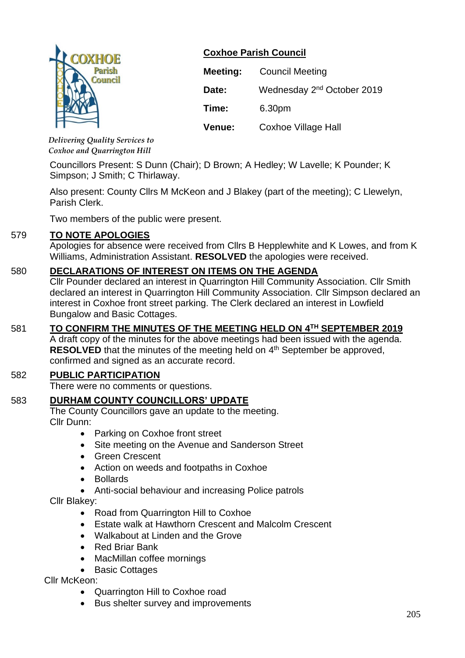

## **Coxhoe Parish Council**

| <b>Meeting:</b> | <b>Council Meeting</b>                 |  |
|-----------------|----------------------------------------|--|
| Date:           | Wednesday 2 <sup>nd</sup> October 2019 |  |
| Time:           | 6.30pm                                 |  |
| Venue:          | <b>Coxhoe Village Hall</b>             |  |

*Delivering Quality Services to Coxhoe and Quarrington Hill*

Councillors Present: S Dunn (Chair); D Brown; A Hedley; W Lavelle; K Pounder; K Simpson; J Smith; C Thirlaway.

Also present: County Cllrs M McKeon and J Blakey (part of the meeting); C Llewelyn, Parish Clerk.

Two members of the public were present.

## 579 **TO NOTE APOLOGIES**

Apologies for absence were received from Cllrs B Hepplewhite and K Lowes, and from K Williams, Administration Assistant. **RESOLVED** the apologies were received.

## 580 **DECLARATIONS OF INTEREST ON ITEMS ON THE AGENDA**

Cllr Pounder declared an interest in Quarrington Hill Community Association. Cllr Smith declared an interest in Quarrington Hill Community Association. Cllr Simpson declared an interest in Coxhoe front street parking. The Clerk declared an interest in Lowfield Bungalow and Basic Cottages.

# 581 **TO CONFIRM THE MINUTES OF THE MEETING HELD ON 4 TH SEPTEMBER 2019**

A draft copy of the minutes for the above meetings had been issued with the agenda. **RESOLVED** that the minutes of the meeting held on 4<sup>th</sup> September be approved, confirmed and signed as an accurate record.

## 582 **PUBLIC PARTICIPATION**

There were no comments or questions.

## 583 **DURHAM COUNTY COUNCILLORS' UPDATE**

The County Councillors gave an update to the meeting. Cllr Dunn:

- Parking on Coxhoe front street
- Site meeting on the Avenue and Sanderson Street
- Green Crescent
- Action on weeds and footpaths in Coxhoe
- Bollards
- Anti-social behaviour and increasing Police patrols

Cllr Blakey:

- Road from Quarrington Hill to Coxhoe
- Estate walk at Hawthorn Crescent and Malcolm Crescent
- Walkabout at Linden and the Grove
- Red Briar Bank
- MacMillan coffee mornings
- Basic Cottages

Cllr McKeon:

- Quarrington Hill to Coxhoe road
- Bus shelter survey and improvements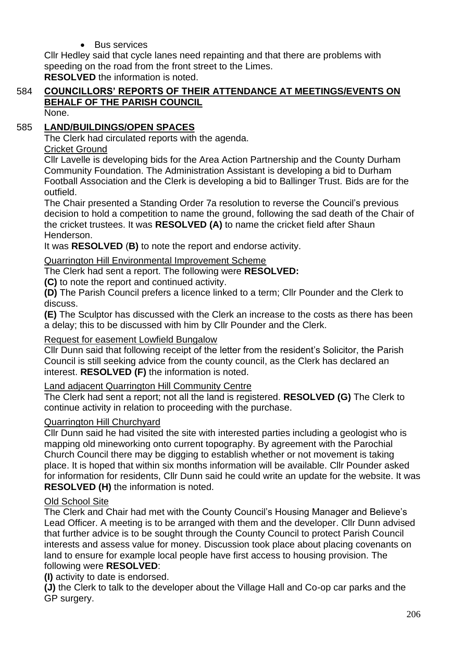## **Bus services**

Cllr Hedley said that cycle lanes need repainting and that there are problems with speeding on the road from the front street to the Limes. **RESOLVED** the information is noted.

# 584 **COUNCILLORS' REPORTS OF THEIR ATTENDANCE AT MEETINGS/EVENTS ON BEHALF OF THE PARISH COUNCIL**

None.

## 585 **LAND/BUILDINGS/OPEN SPACES**

The Clerk had circulated reports with the agenda.

## Cricket Ground

Cllr Lavelle is developing bids for the Area Action Partnership and the County Durham Community Foundation. The Administration Assistant is developing a bid to Durham Football Association and the Clerk is developing a bid to Ballinger Trust. Bids are for the outfield.

The Chair presented a Standing Order 7a resolution to reverse the Council's previous decision to hold a competition to name the ground, following the sad death of the Chair of the cricket trustees. It was **RESOLVED (A)** to name the cricket field after Shaun Henderson.

It was **RESOLVED** (**B)** to note the report and endorse activity.

Quarrington Hill Environmental Improvement Scheme

The Clerk had sent a report. The following were **RESOLVED:**

**(C)** to note the report and continued activity.

**(D)** The Parish Council prefers a licence linked to a term; Cllr Pounder and the Clerk to discuss.

**(E)** The Sculptor has discussed with the Clerk an increase to the costs as there has been a delay; this to be discussed with him by Cllr Pounder and the Clerk.

## Request for easement Lowfield Bungalow

Cllr Dunn said that following receipt of the letter from the resident's Solicitor, the Parish Council is still seeking advice from the county council, as the Clerk has declared an interest. **RESOLVED (F)** the information is noted.

## Land adjacent Quarrington Hill Community Centre

The Clerk had sent a report; not all the land is registered. **RESOLVED (G)** The Clerk to continue activity in relation to proceeding with the purchase.

## Quarrington Hill Churchyard

Cllr Dunn said he had visited the site with interested parties including a geologist who is mapping old mineworking onto current topography. By agreement with the Parochial Church Council there may be digging to establish whether or not movement is taking place. It is hoped that within six months information will be available. Cllr Pounder asked for information for residents, Cllr Dunn said he could write an update for the website. It was **RESOLVED (H)** the information is noted.

## Old School Site

The Clerk and Chair had met with the County Council's Housing Manager and Believe's Lead Officer. A meeting is to be arranged with them and the developer. Cllr Dunn advised that further advice is to be sought through the County Council to protect Parish Council interests and assess value for money. Discussion took place about placing covenants on land to ensure for example local people have first access to housing provision. The following were **RESOLVED**:

**(I)** activity to date is endorsed.

**(J)** the Clerk to talk to the developer about the Village Hall and Co-op car parks and the GP surgery.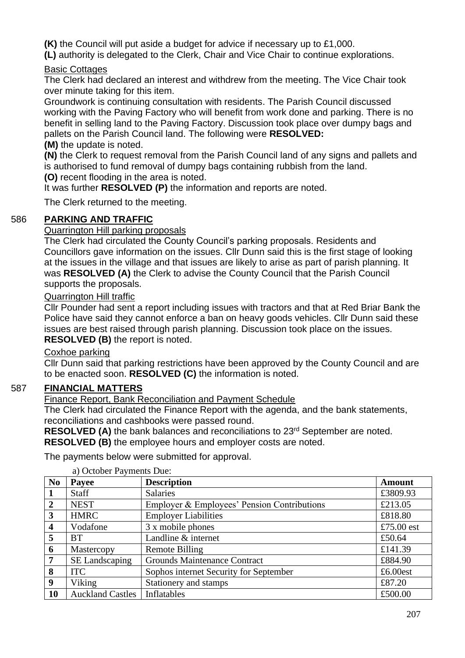**(K)** the Council will put aside a budget for advice if necessary up to £1,000.

**(L)** authority is delegated to the Clerk, Chair and Vice Chair to continue explorations.

## Basic Cottages

The Clerk had declared an interest and withdrew from the meeting. The Vice Chair took over minute taking for this item.

Groundwork is continuing consultation with residents. The Parish Council discussed working with the Paving Factory who will benefit from work done and parking. There is no benefit in selling land to the Paving Factory. Discussion took place over dumpy bags and pallets on the Parish Council land. The following were **RESOLVED:**

### **(M)** the update is noted.

**(N)** the Clerk to request removal from the Parish Council land of any signs and pallets and is authorised to fund removal of dumpy bags containing rubbish from the land. **(O)** recent flooding in the area is noted.

It was further **RESOLVED (P)** the information and reports are noted.

The Clerk returned to the meeting.

## 586 **PARKING AND TRAFFIC**

### Quarrington Hill parking proposals

The Clerk had circulated the County Council's parking proposals. Residents and Councillors gave information on the issues. Cllr Dunn said this is the first stage of looking at the issues in the village and that issues are likely to arise as part of parish planning. It was **RESOLVED (A)** the Clerk to advise the County Council that the Parish Council supports the proposals.

### Quarrington Hill traffic

Cllr Pounder had sent a report including issues with tractors and that at Red Briar Bank the Police have said they cannot enforce a ban on heavy goods vehicles. Cllr Dunn said these issues are best raised through parish planning. Discussion took place on the issues. **RESOLVED (B)** the report is noted.

## Coxhoe parking

Cllr Dunn said that parking restrictions have been approved by the County Council and are to be enacted soon. **RESOLVED (C)** the information is noted.

## 587 **FINANCIAL MATTERS**

Finance Report, Bank Reconciliation and Payment Schedule

The Clerk had circulated the Finance Report with the agenda, and the bank statements, reconciliations and cashbooks were passed round.

**RESOLVED (A)** the bank balances and reconciliations to 23<sup>rd</sup> September are noted.

**RESOLVED (B)** the employee hours and employer costs are noted.

The payments below were submitted for approval.

| N <sub>0</sub>          | $\alpha$ ) October 1 $\alpha$ metrics Due.<br>Payee | <b>Description</b>                          | <b>Amount</b> |
|-------------------------|-----------------------------------------------------|---------------------------------------------|---------------|
|                         | Staff                                               | <b>Salaries</b>                             | £3809.93      |
| $\overline{2}$          | <b>NEST</b>                                         | Employer & Employees' Pension Contributions | £213.05       |
| 3                       | <b>HMRC</b>                                         | <b>Employer Liabilities</b>                 | £818.80       |
| $\overline{\mathbf{4}}$ | Vodafone                                            | 3 x mobile phones                           | £75.00 $est$  |
| 5                       | <b>BT</b>                                           | Landline & internet                         | £50.64        |
| 6                       | Mastercopy                                          | Remote Billing                              | £141.39       |
| 7                       | <b>SE Landscaping</b>                               | <b>Grounds Maintenance Contract</b>         | £884.90       |
| 8                       | <b>ITC</b>                                          | Sophos internet Security for September      | £6.00 $est$   |
| 9                       | Viking                                              | Stationery and stamps                       | £87.20        |
| <b>10</b>               | <b>Auckland Castles</b>                             | Inflatables                                 | £500.00       |

a) October Payments Due: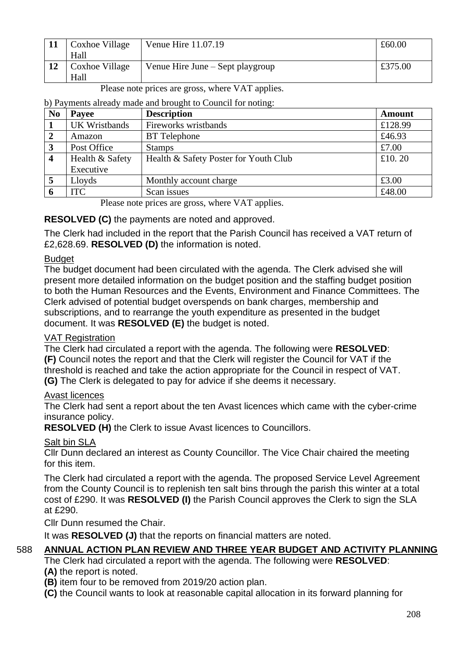| Coxhoe Village<br>Hall | Venue Hire 11.07.19              | £60.00  |
|------------------------|----------------------------------|---------|
| Coxhoe Village<br>Hall | Venue Hire June – Sept playgroup | £375.00 |

#### Please note prices are gross, where VAT applies.

#### b) Payments already made and brought to Council for noting:

| N <sub>0</sub>          | <b>Description</b><br>Payee |                                       | <b>Amount</b> |
|-------------------------|-----------------------------|---------------------------------------|---------------|
|                         | <b>UK Wristbands</b>        | Fireworks wristbands                  | £128.99       |
|                         | Amazon                      | <b>BT</b> Telephone                   | £46.93        |
| 3                       | Post Office                 | <b>Stamps</b>                         | £7.00         |
| $\overline{\mathbf{4}}$ | Health & Safety             | Health & Safety Poster for Youth Club | £10.20        |
|                         | Executive                   |                                       |               |
| 5                       | Lloyds                      | Monthly account charge                | £3.00         |
|                         | <b>ITC</b>                  | Scan issues                           | £48.00        |

Please note prices are gross, where VAT applies.

## **RESOLVED (C)** the payments are noted and approved.

The Clerk had included in the report that the Parish Council has received a VAT return of £2,628.69. **RESOLVED (D)** the information is noted.

### Budget

The budget document had been circulated with the agenda. The Clerk advised she will present more detailed information on the budget position and the staffing budget position to both the Human Resources and the Events, Environment and Finance Committees. The Clerk advised of potential budget overspends on bank charges, membership and subscriptions, and to rearrange the youth expenditure as presented in the budget document. It was **RESOLVED (E)** the budget is noted.

## VAT Registration

The Clerk had circulated a report with the agenda. The following were **RESOLVED**: **(F)** Council notes the report and that the Clerk will register the Council for VAT if the threshold is reached and take the action appropriate for the Council in respect of VAT. **(G)** The Clerk is delegated to pay for advice if she deems it necessary.

## Avast licences

The Clerk had sent a report about the ten Avast licences which came with the cyber-crime insurance policy.

**RESOLVED (H)** the Clerk to issue Avast licences to Councillors.

## Salt bin SLA

Cllr Dunn declared an interest as County Councillor. The Vice Chair chaired the meeting for this item.

The Clerk had circulated a report with the agenda. The proposed Service Level Agreement from the County Council is to replenish ten salt bins through the parish this winter at a total cost of £290. It was **RESOLVED (I)** the Parish Council approves the Clerk to sign the SLA at £290.

Cllr Dunn resumed the Chair.

It was **RESOLVED (J)** that the reports on financial matters are noted.

## 588 **ANNUAL ACTION PLAN REVIEW AND THREE YEAR BUDGET AND ACTIVITY PLANNING**

The Clerk had circulated a report with the agenda. The following were **RESOLVED**: **(A)** the report is noted.

**(B)** item four to be removed from 2019/20 action plan.

**(C)** the Council wants to look at reasonable capital allocation in its forward planning for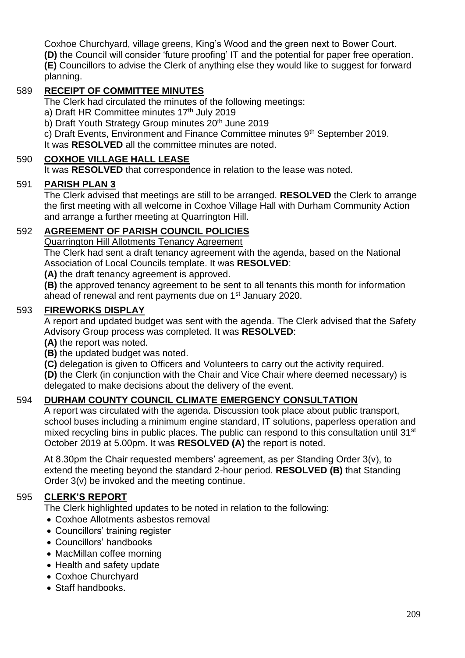Coxhoe Churchyard, village greens, King's Wood and the green next to Bower Court. **(D)** the Council will consider 'future proofing' IT and the potential for paper free operation. **(E)** Councillors to advise the Clerk of anything else they would like to suggest for forward planning.

## 589 **RECEIPT OF COMMITTEE MINUTES**

The Clerk had circulated the minutes of the following meetings:

- a) Draft HR Committee minutes 17<sup>th</sup> July 2019
- b) Draft Youth Strategy Group minutes 20<sup>th</sup> June 2019

c) Draft Events, Environment and Finance Committee minutes 9th September 2019.

It was **RESOLVED** all the committee minutes are noted.

## 590 **COXHOE VILLAGE HALL LEASE**

It was **RESOLVED** that correspondence in relation to the lease was noted.

## 591 **PARISH PLAN 3**

The Clerk advised that meetings are still to be arranged. **RESOLVED** the Clerk to arrange the first meeting with all welcome in Coxhoe Village Hall with Durham Community Action and arrange a further meeting at Quarrington Hill.

## 592 **AGREEMENT OF PARISH COUNCIL POLICIES**

Quarrington Hill Allotments Tenancy Agreement

The Clerk had sent a draft tenancy agreement with the agenda, based on the National Association of Local Councils template. It was **RESOLVED**:

**(A)** the draft tenancy agreement is approved.

**(B)** the approved tenancy agreement to be sent to all tenants this month for information ahead of renewal and rent payments due on 1<sup>st</sup> January 2020.

### 593 **FIREWORKS DISPLAY**

A report and updated budget was sent with the agenda. The Clerk advised that the Safety Advisory Group process was completed. It was **RESOLVED**:

**(A)** the report was noted.

**(B)** the updated budget was noted.

**(C)** delegation is given to Officers and Volunteers to carry out the activity required.

**(D)** the Clerk (in conjunction with the Chair and Vice Chair where deemed necessary) is delegated to make decisions about the delivery of the event.

## 594 **DURHAM COUNTY COUNCIL CLIMATE EMERGENCY CONSULTATION**

A report was circulated with the agenda. Discussion took place about public transport, school buses including a minimum engine standard, IT solutions, paperless operation and mixed recycling bins in public places. The public can respond to this consultation until 31<sup>st</sup> October 2019 at 5.00pm. It was **RESOLVED (A)** the report is noted.

At 8.30pm the Chair requested members' agreement, as per Standing Order 3(v), to extend the meeting beyond the standard 2-hour period. **RESOLVED (B)** that Standing Order 3(v) be invoked and the meeting continue.

## 595 **CLERK'S REPORT**

The Clerk highlighted updates to be noted in relation to the following:

- Coxhoe Allotments asbestos removal
- Councillors' training register
- Councillors' handbooks
- MacMillan coffee morning
- Health and safety update
- Coxhoe Churchyard
- Staff handbooks.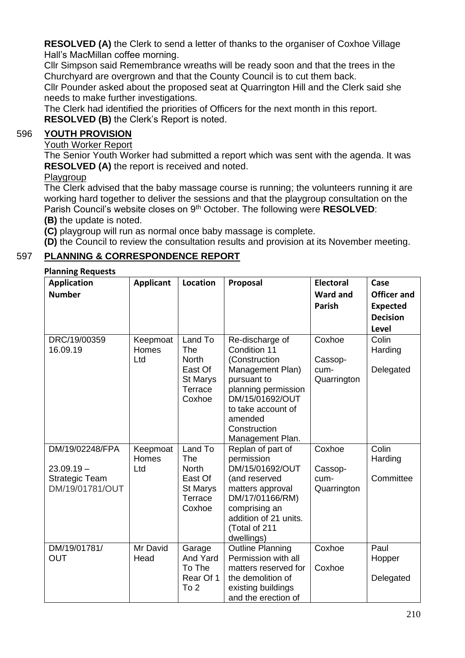**RESOLVED (A)** the Clerk to send a letter of thanks to the organiser of Coxhoe Village Hall's MacMillan coffee morning.

Cllr Simpson said Remembrance wreaths will be ready soon and that the trees in the Churchyard are overgrown and that the County Council is to cut them back.

Cllr Pounder asked about the proposed seat at Quarrington Hill and the Clerk said she needs to make further investigations.

The Clerk had identified the priorities of Officers for the next month in this report. **RESOLVED (B)** the Clerk's Report is noted.

## 596 **YOUTH PROVISION**

Youth Worker Report

The Senior Youth Worker had submitted a report which was sent with the agenda. It was **RESOLVED (A)** the report is received and noted.

#### **Playgroup**

The Clerk advised that the baby massage course is running; the volunteers running it are working hard together to deliver the sessions and that the playgroup consultation on the Parish Council's website closes on 9th October. The following were **RESOLVED**: **(B)** the update is noted.

**(C)** playgroup will run as normal once baby massage is complete.

**(D)** the Council to review the consultation results and provision at its November meeting.

## 597 **PLANNING & CORRESPONDENCE REPORT**

#### **Planning Requests**

| <b>Application</b><br><b>Number</b>      | <b>Applicant</b>                | Location                                                                          | Proposal                                                                                                                                                                                           | <b>Electoral</b><br><b>Ward and</b><br><b>Parish</b> | Case<br><b>Officer and</b><br><b>Expected</b><br><b>Decision</b><br><b>Level</b> |
|------------------------------------------|---------------------------------|-----------------------------------------------------------------------------------|----------------------------------------------------------------------------------------------------------------------------------------------------------------------------------------------------|------------------------------------------------------|----------------------------------------------------------------------------------|
| DRC/19/00359<br>16.09.19                 | Keepmoat<br><b>Homes</b><br>Ltd | Land To<br>The<br><b>North</b><br>East Of<br><b>St Marys</b><br>Terrace<br>Coxhoe | Re-discharge of<br>Condition 11<br>(Construction<br>Management Plan)<br>pursuant to<br>planning permission<br>DM/15/01692/OUT<br>to take account of<br>amended<br>Construction<br>Management Plan. | Coxhoe<br>Cassop-<br>cum-<br>Quarrington             | Colin<br>Harding<br>Delegated                                                    |
| DM/19/02248/FPA<br>$23.09.19 -$          | Keepmoat<br><b>Homes</b><br>Ltd | Land To<br>The<br><b>North</b>                                                    | Replan of part of<br>permission<br>DM/15/01692/OUT                                                                                                                                                 | Coxhoe<br>Cassop-                                    | Colin<br>Harding                                                                 |
| <b>Strategic Team</b><br>DM/19/01781/OUT |                                 | East Of<br>St Marys<br>Terrace<br>Coxhoe                                          | (and reserved<br>matters approval<br>DM/17/01166/RM)<br>comprising an<br>addition of 21 units.<br>(Total of 211<br>dwellings)                                                                      | cum-<br>Quarrington                                  | Committee                                                                        |
| DM/19/01781/<br><b>OUT</b>               | Mr David<br>Head                | Garage<br>And Yard<br>To The<br>Rear Of 1<br>To 2                                 | <b>Outline Planning</b><br>Permission with all<br>matters reserved for<br>the demolition of<br>existing buildings<br>and the erection of                                                           | Coxhoe<br>Coxhoe                                     | Paul<br>Hopper<br>Delegated                                                      |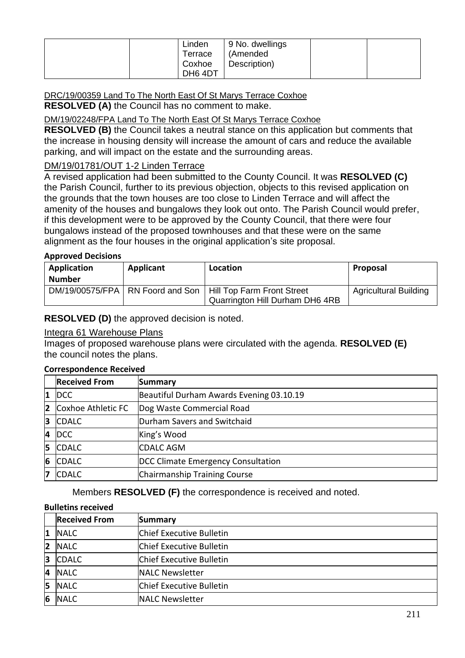|  | Linden<br>Terrace<br>Coxhoe<br>DH64DT | 9 No. dwellings<br>(Amended<br>Description) |  |  |
|--|---------------------------------------|---------------------------------------------|--|--|
|--|---------------------------------------|---------------------------------------------|--|--|

#### DRC/19/00359 Land To The North East Of St Marys Terrace Coxhoe **RESOLVED (A)** the Council has no comment to make.

DM/19/02248/FPA Land To The North East Of St Marys Terrace Coxhoe

**RESOLVED (B)** the Council takes a neutral stance on this application but comments that the increase in housing density will increase the amount of cars and reduce the available parking, and will impact on the estate and the surrounding areas.

#### DM/19/01781/OUT 1-2 Linden Terrace

A revised application had been submitted to the County Council. It was **RESOLVED (C)** the Parish Council, further to its previous objection, objects to this revised application on the grounds that the town houses are too close to Linden Terrace and will affect the amenity of the houses and bungalows they look out onto. The Parish Council would prefer, if this development were to be approved by the County Council, that there were four bungalows instead of the proposed townhouses and that these were on the same alignment as the four houses in the original application's site proposal.

#### **Approved Decisions**

| Application   | Applicant | Location                                                        | Proposal                     |
|---------------|-----------|-----------------------------------------------------------------|------------------------------|
| <b>Number</b> |           |                                                                 |                              |
|               |           | DM/19/00575/FPA   RN Foord and Son   Hill Top Farm Front Street | <b>Agricultural Building</b> |
|               |           | Quarrington Hill Durham DH6 4RB                                 |                              |

#### **RESOLVED (D)** the approved decision is noted.

#### Integra 61 Warehouse Plans

Images of proposed warehouse plans were circulated with the agenda. **RESOLVED (E)** the council notes the plans.

#### **Correspondence Received**

|                | <b>Received From</b> | <b>Summary</b>                           |
|----------------|----------------------|------------------------------------------|
| $\mathbf{1}$   | <b>DCC</b>           | Beautiful Durham Awards Evening 03.10.19 |
| $\overline{2}$ | Coxhoe Athletic FC   | Dog Waste Commercial Road                |
| 3              | <b>CDALC</b>         | Durham Savers and Switchaid              |
|                | 4 DCC                | King's Wood                              |
| 5              | <b>CDALC</b>         | <b>CDALC AGM</b>                         |
| 6              | <b>CDALC</b>         | DCC Climate Emergency Consultation       |
| 7              | <b>CDALC</b>         | Chairmanship Training Course             |

Members **RESOLVED (F)** the correspondence is received and noted.

#### **Bulletins received**

|                | <b>Received From</b> | Summary                         |
|----------------|----------------------|---------------------------------|
| 11             | <b>NALC</b>          | Chief Executive Bulletin        |
| $\overline{2}$ | <b>NALC</b>          | Chief Executive Bulletin        |
| 13             | <b>CDALC</b>         | <b>Chief Executive Bulletin</b> |
| 4              | <b>NALC</b>          | NALC Newsletter                 |
| 15             | <b>NALC</b>          | <b>Chief Executive Bulletin</b> |
| 6              | <b>NALC</b>          | <b>NALC Newsletter</b>          |